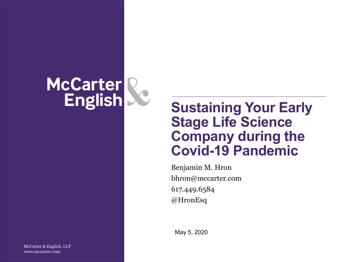# McCarter R<br>English

## **Sustaining Your Early Stage Life Science Company during the Covid-19 Pandemic**

Benjamin M. Hron bhron@mccarter.com 617.449.6584 @HronEsq

May 5, 2020

McCarter & English, LLP www.mccarter.com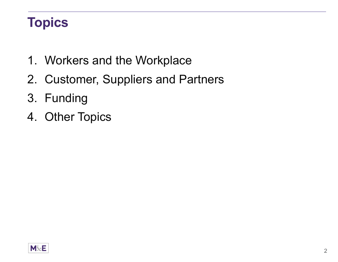## **Topics**

- 1. Workers and the Workplace
- 2. Customer, Suppliers and Partners
- 3. Funding
- 4. Other Topics

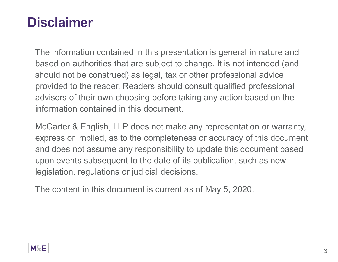## **Disclaimer**

The information contained in this presentation is general in nature and based on authorities that are subject to change. It is not intended (and should not be construed) as legal, tax or other professional advice provided to the reader. Readers should consult qualified professional advisors of their own choosing before taking any action based on the information contained in this document.

McCarter & English, LLP does not make any representation or warranty, express or implied, as to the completeness or accuracy of this document and does not assume any responsibility to update this document based upon events subsequent to the date of its publication, such as new legislation, regulations or judicial decisions.

The content in this document is current as of May 5, 2020.

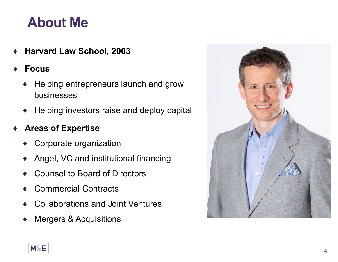## **About Me**

- ♦**Harvard Law School, 2003**
- ♦ **Focus**
	- ♦ Helping entrepreneurs launch and grow businesses
	- $\blacklozenge\;$  Helping investors raise and deploy capital

#### ♦**Areas of Expertise**

- ♦Corporate organization
- ♦Angel, VC and institutional financing
- ♦Counsel to Board of Directors
- ♦Commercial Contracts
- ♦Collaborations and Joint Ventures
- ♦Mergers & Acquisitions



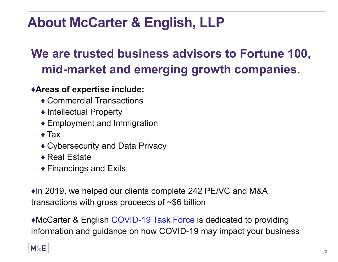## **About McCarter & English, LLP**

## **We are trusted business advisors to Fortune 100, mid-market and emerging growth companies.**

### ♦**Areas of expertise include:**

- ♦ Commercial Transactions
- $\blacklozenge$  Intellectual Property
- $\blacklozenge$  Employment and Immigration
- $\blacklozenge$  Tax
- $\blacklozenge$  Cybersecurity and Data Privacy
- ◆ Real Estate
- $\blacklozenge$  Financings and Exits

♦In 2019, we helped our clients complete 242 PE/VC and M&A transactions with gross proceeds of ~\$6 billion

♦McCarter & English COVID-19 Task Force is dedicated to providing information and guidance on how COVID-19 may impact your business

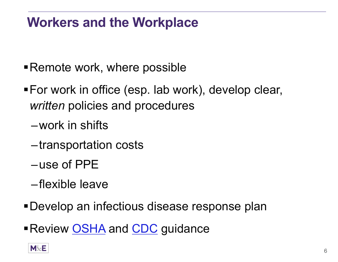## **Workers and the Workplace**

- Remote work, where possible
- For work in office (esp. lab work), develop clear, *written* policies and procedures
	- –work in shifts
	- –transportation costs
	- –use of PPE
	- –flexible leave
- Develop an infectious disease response plan
- ■Review <u>OSHA</u> and <u>CDC</u> guidance

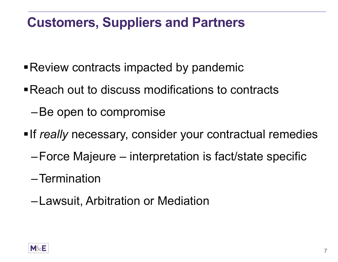## **Customers, Suppliers and Partners**

- Review contracts impacted by pandemic
- Reach out to discuss modifications to contracts
	- –Be open to compromise
- **If really necessary, consider your contractual remedies** 
	- –Force Majeure interpretation is fact/state specific
	- –Termination
	- –Lawsuit, Arbitration or Mediation

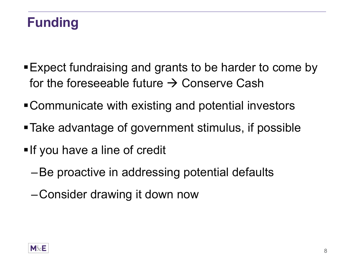## **Funding**

- Expect fundraising and grants to be harder to come by for the foreseeable future  $\rightarrow$  Conserve Cash
- Communicate with existing and potential investors
- Take advantage of government stimulus, if possible
- **If you have a line of credit** 
	- –Be proactive in addressing potential defaults
	- –Consider drawing it down now

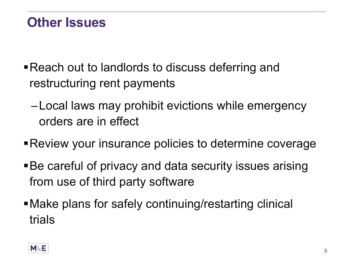## **Other Issues**

- Reach out to landlords to discuss deferring and restructuring rent payments
	- –Local laws may prohibit evictions while emergency orders are in effect
- Review your insurance policies to determine coverage
- Be careful of privacy and data security issues arising from use of third party software
- Make plans for safely continuing/restarting clinical trials